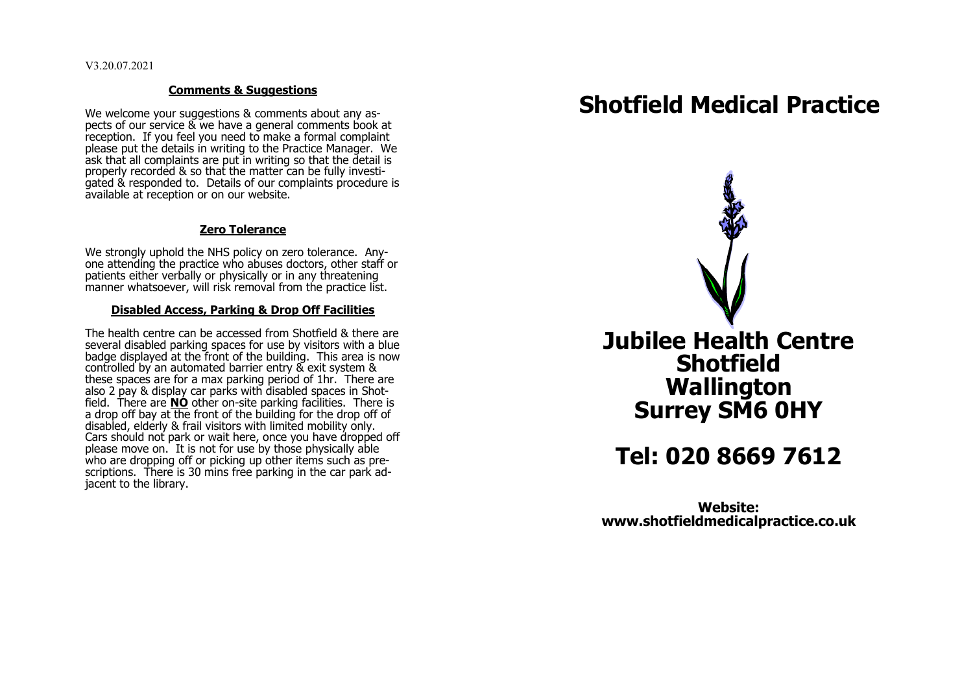V3.20.07.2021

#### **Comments & Suggestions**

We welcome your suggestions & comments about any aspects of our service & we have a general comments book at reception. If you feel you need to make a formal complaint please put the details in writing to the Practice Manager. We ask that all complaints are put in writing so that the detail is properly recorded & so that the matter can be fully investiquated & responded to. Details of our complaints procedure is available at reception or on our website.

### **Zero Tolerance**

We strongly uphold the NHS policy on zero tolerance. Anyone attending the practice who abuses doctors, other staff or patients either verbally or physically or in any threatening manner whatsoever, will risk removal from the practice list.

#### **Disabled Access, Parking & Drop Off Facilities**

The health centre can be accessed from Shotfield & there are several disabled parking spaces for use by visitors with a blue badge displayed at the front of the building. This area is now controlled by an automated barrier entry & exit system & these spaces are for a max parking period of 1hr. There are also 2 pay & display car parks with disabled spaces in Shotfield. There are **NO** other on-site parking facilities. There is a drop off bay at the front of the building for the drop off of disabled, elderly & frail visitors with limited mobility only. Cars should not park or wait here, once you have dropped off please move on. It is not for use by those physically able who are dropping off or picking up other items such as prescriptions. There is 30 mins free parking in the car park adjacent to the library.

# **Shotfield Medical Practice**



# **Tel: 020 8669 7612**

**Website: www.shotfieldmedicalpractice.co.uk**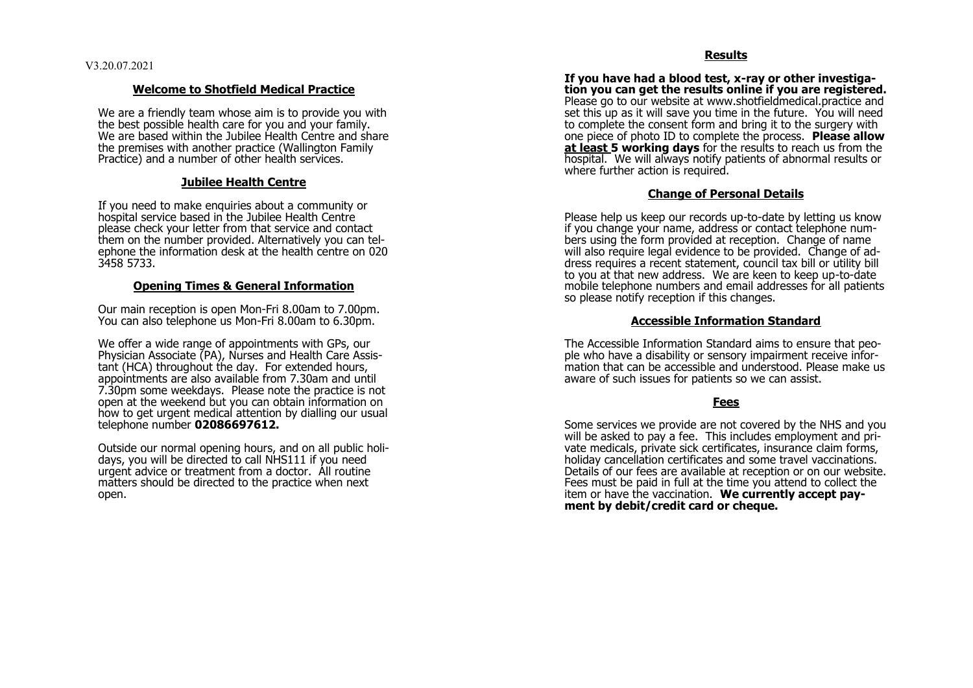### **Welcome to Shotfield Medical Practice**

We are a friendly team whose aim is to provide you with the best possible health care for you and your family. We are based within the Jubilee Health Centre and share the premises with another practice (Wallington Family Practice) and a number of other health services.

### **Jubilee Health Centre**

If you need to make enquiries about a community or hospital service based in the Jubilee Health Centre please check your letter from that service and contact them on the number provided. Alternatively you can telephone the information desk at the health centre on 020 3458 5733.

#### **Opening Times & General Information**

Our main reception is open Mon -Fri 8.00am to 7.00pm. You can also telephone us Mon -Fri 8.00am to 6.30pm.

We offer a wide range of appointments with GPs, our Physician Associate (PA), Nurses and Health Care Assistant (HCA) throughout the day. For extended hours, appointments are also available from 7.30am and until 7.30pm some weekdays. Please note the practice is not open at the weekend but you can obtain information on how to get urgent medical attention by dialling our usual telephone number **02086697612.** 

Outside our normal opening hours, and on all public holidays, you will be directed to call NHS111 if you need urgent advice or treatment from a doctor. All routine matters should be directed to the practice when next open.

#### **Results**

**If you have had a blood test, x -ray or other investigation you can get the results online if you are registered.**  Please go to our website at www.shotfieldmedical.practice and set this up as it will save you time in the future. You will need to complete the consent form and bring it to the surgery with one piece of photo ID to complete the process. **Please allow at least 5 working days** for the results to reach us from the hospital. We will always notify patients of abnormal results or where further action is required.

#### **Change of Personal Details**

Please help us keep our records up -to -date by letting us know if you change your name, address or contact telephone numbers using the form provided at reception. Change of name will also require legal evidence to be provided. Change of address requires a recent statement, council tax bill or utility bill to you at that new address. We are keen to keep up -to -date mobile telephone numbers and email addresses for all patients so please notify reception if this changes.

#### **Accessible Information Standard**

The Accessible Information Standard aims to ensure that people who have a disability or sensory impairment receive information that can be accessible and understood. Please make us aware of such issues for patients so we can assist.

#### **Fees**

Some services we provide are not covered by the NHS and you will be asked to pay a fee. This includes employment and private medicals, private sick certificates, insurance claim forms, holiday cancellation certificates and some travel vaccinations. Details of our fees are available at reception or on our website. Fees must be paid in full at the time you attend to collect the item or have the vaccination. **We currently accept payment by debit/credit card or cheque.**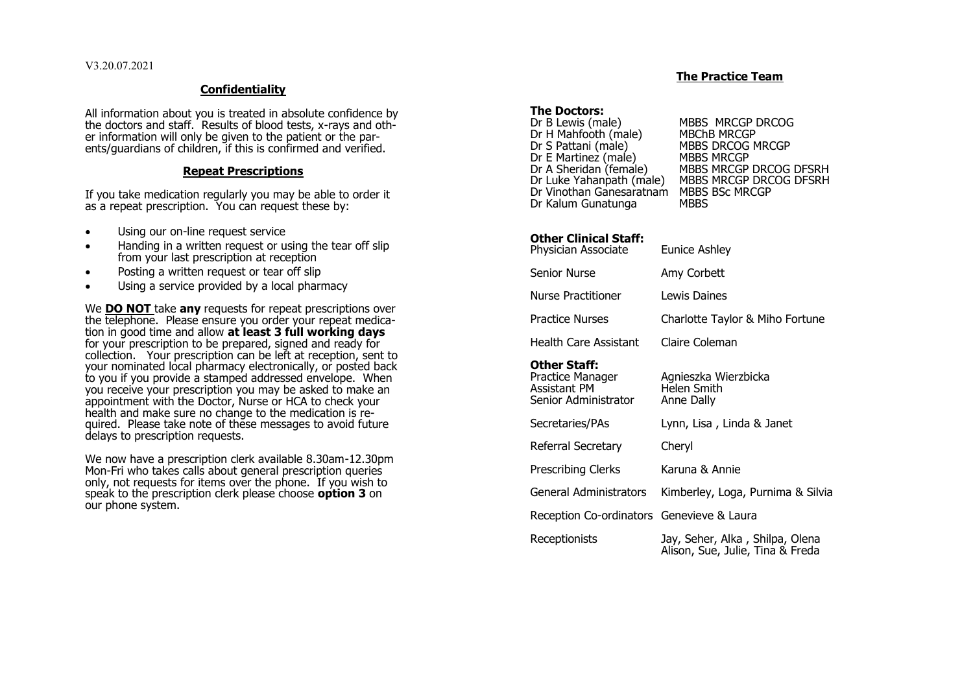# **Confidentiality**

All information about you is treated in absolute confidence by the doctors and staff. Results of blood tests, x-rays and other information will only be given to the patient or the parents/guardians of children, if this is confirmed and verified.

### **Repeat Prescriptions**

If you take medication regularly you may be able to order it as a repeat prescription. You can request these by:

- Using our on-line request service
- Handing in a written request or using the tear off slip from your last prescription at reception
- Posting a written request or tear off slip
- Using a service provided by a local pharmacy

We **DO NOT** take **any** requests for repeat prescriptions over the telephone. Please ensure you order your repeat medication in good time and allow **at least 3 full working days** for your prescription to be prepared, signed and ready for collection. Your prescription can be left at reception, sent to your nominated local pharmacy electronically, or posted back to you if you provide a stamped addressed envelope. When you receive your prescription you may be asked to make an appointment with the Doctor, Nurse or HCA to check your health and make sure no change to the medication is required. Please take note of these messages to avoid future delays to prescription requests.

We now have a prescription clerk available 8.30am-12.30pm Mon-Fri who takes calls about general prescription queries only, not requests for items over the phone. If you wish to speak to the prescription clerk please choose **option 3** on our phone system.

# **The Practice Team**

# **The Doctors:**<br>Dr B Lewis (male)

MBBS MRCGP DRCOG<br>MBChB MRCGP Dr H Mahfooth (male)<br>Dr S Pattani (male) MBBS DRCOG MRCGP<br>MBBS MRCGP Dr E Martinez (male)<br>Dr A Sheridan (female) Dr A Sheridan (female) MBBS MRCGP DRCOG DFSRH<br>Dr Luke Yahanpath (male) MBBS MRCGP DRCOG DFSRH MBBS MRCGP DRCOG DFSRH Dr Vinothan Ganesaratnam MBBS BSc MRCGP Dr Kalum Gunatunga

#### **Other Clinical Staff:** Physician Associate Eunice Ashley

| Physician Associate                                                      | Eunice Asniey                                                       |
|--------------------------------------------------------------------------|---------------------------------------------------------------------|
| Senior Nurse                                                             | Amy Corbett                                                         |
| Nurse Practitioner                                                       | Lewis Daines                                                        |
| Practice Nurses                                                          | Charlotte Taylor & Miho Fortune                                     |
| Health Care Assistant                                                    | Claire Coleman                                                      |
| Other Staff:<br>Practice Manager<br>Assistant PM<br>Senior Administrator | Agnieszka Wierzbicka<br>Helen Smith<br>Anne Dally                   |
| Secretaries/PAs                                                          | Lynn, Lisa, Linda & Janet                                           |
| Referral Secretary                                                       | Cheryl                                                              |
| Prescribing Clerks                                                       | Karuna & Annie                                                      |
| General Administrators                                                   | Kimberley, Loga, Purnima & Silvia                                   |
| Reception Co-ordinators Genevieve & Laura                                |                                                                     |
| Receptionists                                                            | Jay, Seher, Alka, Shilpa, Olena<br>Alison, Sue, Julie, Tina & Freda |